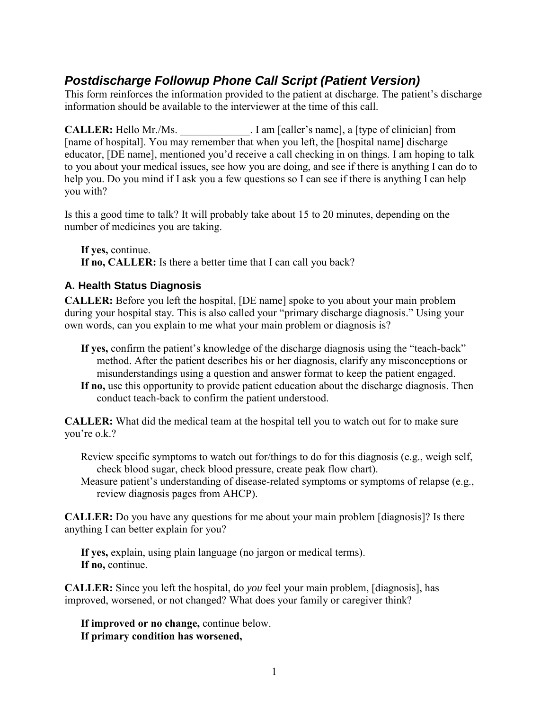# *Postdischarge Followup Phone Call Script (Patient Version)*

This form reinforces the information provided to the patient at discharge. The patient's discharge information should be available to the interviewer at the time of this call.

**CALLER:** Hello Mr./Ms. **Lam** [caller's name], a [type of clinician] from [name of hospital]. You may remember that when you left, the [hospital name] discharge educator, [DE name], mentioned you'd receive a call checking in on things. I am hoping to talk to you about your medical issues, see how you are doing, and see if there is anything I can do to help you. Do you mind if I ask you a few questions so I can see if there is anything I can help you with?

Is this a good time to talk? It will probably take about 15 to 20 minutes, depending on the number of medicines you are taking.

**If yes,** continue. **If no, CALLER:** Is there a better time that I can call you back?

#### **A. Health Status Diagnosis**

**CALLER:** Before you left the hospital, [DE name] spoke to you about your main problem during your hospital stay. This is also called your "primary discharge diagnosis." Using your own words, can you explain to me what your main problem or diagnosis is?

- **If yes,** confirm the patient's knowledge of the discharge diagnosis using the "teach-back" method. After the patient describes his or her diagnosis, clarify any misconceptions or misunderstandings using a question and answer format to keep the patient engaged.
- **If no,** use this opportunity to provide patient education about the discharge diagnosis. Then conduct teach-back to confirm the patient understood.

**CALLER:** What did the medical team at the hospital tell you to watch out for to make sure you're o.k.?

- Review specific symptoms to watch out for/things to do for this diagnosis (e.g., weigh self, check blood sugar, check blood pressure, create peak flow chart).
- Measure patient's understanding of disease-related symptoms or symptoms of relapse (e.g., review diagnosis pages from AHCP).

**CALLER:** Do you have any questions for me about your main problem [diagnosis]? Is there anything I can better explain for you?

**If yes,** explain, using plain language (no jargon or medical terms). **If no,** continue.

**CALLER:** Since you left the hospital, do *you* feel your main problem, [diagnosis], has improved, worsened, or not changed? What does your family or caregiver think?

**If improved or no change,** continue below. **If primary condition has worsened,**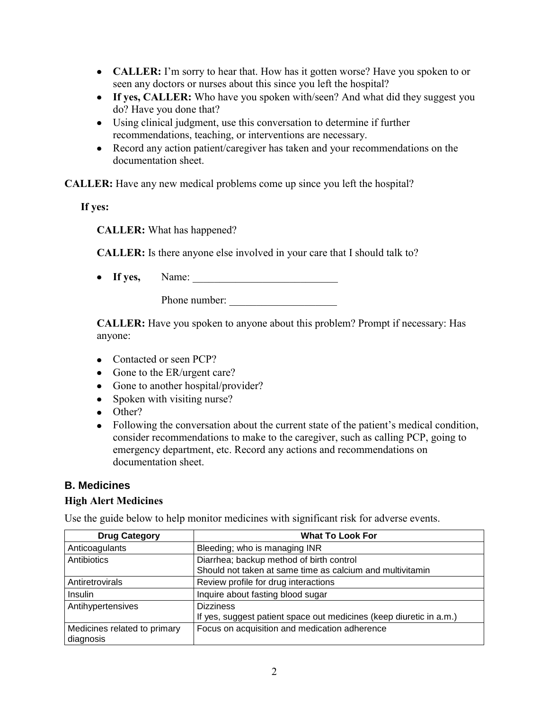- **CALLER:** I'm sorry to hear that. How has it gotten worse? Have you spoken to or seen any doctors or nurses about this since you left the hospital?
- If yes, CALLER: Who have you spoken with/seen? And what did they suggest you do? Have you done that?
- Using clinical judgment, use this conversation to determine if further recommendations, teaching, or interventions are necessary.
- Record any action patient/caregiver has taken and your recommendations on the documentation sheet.

**CALLER:** Have any new medical problems come up since you left the hospital?

**If yes:** 

**CALLER:** What has happened?

**CALLER:** Is there anyone else involved in your care that I should talk to?

**If yes,** Name: \_\_\_\_\_\_\_\_\_\_\_\_\_\_\_\_\_\_\_\_\_\_\_\_\_\_\_

Phone number:

**CALLER:** Have you spoken to anyone about this problem? Prompt if necessary: Has anyone:

- Contacted or seen PCP?
- Gone to the ER/urgent care?
- Gone to another hospital/provider?
- Spoken with visiting nurse?
- Other?
- Following the conversation about the current state of the patient's medical condition, consider recommendations to make to the caregiver, such as calling PCP, going to emergency department, etc. Record any actions and recommendations on documentation sheet.

#### **B. Medicines**

#### **High Alert Medicines**

Use the guide below to help monitor medicines with significant risk for adverse events.

| <b>Drug Category</b>                      | <b>What To Look For</b>                                             |
|-------------------------------------------|---------------------------------------------------------------------|
| Anticoagulants                            | Bleeding; who is managing INR                                       |
| Antibiotics                               | Diarrhea; backup method of birth control                            |
|                                           | Should not taken at same time as calcium and multivitamin           |
| Antiretrovirals                           | Review profile for drug interactions                                |
| Insulin                                   | Inquire about fasting blood sugar                                   |
| Antihypertensives                         | <b>Dizziness</b>                                                    |
|                                           | If yes, suggest patient space out medicines (keep diuretic in a.m.) |
| Medicines related to primary<br>diagnosis | Focus on acquisition and medication adherence                       |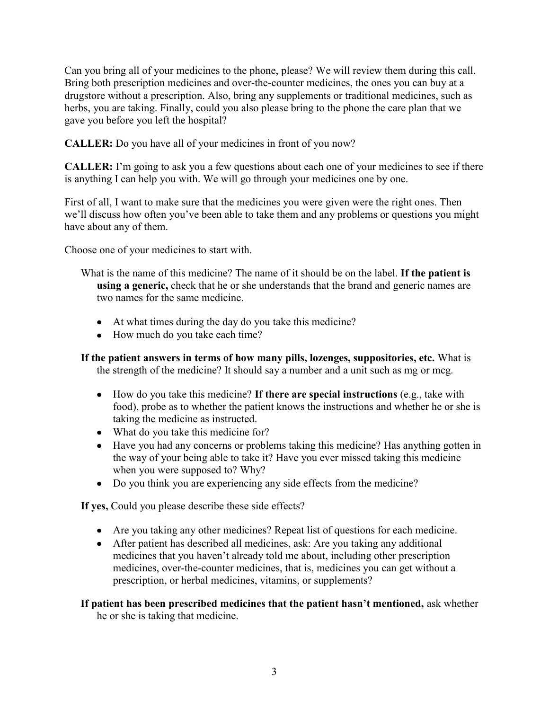Can you bring all of your medicines to the phone, please? We will review them during this call. Bring both prescription medicines and over-the-counter medicines, the ones you can buy at a drugstore without a prescription. Also, bring any supplements or traditional medicines, such as herbs, you are taking. Finally, could you also please bring to the phone the care plan that we gave you before you left the hospital?

**CALLER:** Do you have all of your medicines in front of you now?

**CALLER:** I'm going to ask you a few questions about each one of your medicines to see if there is anything I can help you with. We will go through your medicines one by one.

First of all, I want to make sure that the medicines you were given were the right ones. Then we'll discuss how often you've been able to take them and any problems or questions you might have about any of them.

Choose one of your medicines to start with.

What is the name of this medicine? The name of it should be on the label. **If the patient is using a generic,** check that he or she understands that the brand and generic names are two names for the same medicine.

- At what times during the day do you take this medicine?
- How much do you take each time?

**If the patient answers in terms of how many pills, lozenges, suppositories, etc.** What is the strength of the medicine? It should say a number and a unit such as mg or mcg.

- How do you take this medicine? **If there are special instructions** (e.g., take with food), probe as to whether the patient knows the instructions and whether he or she is taking the medicine as instructed.
- What do you take this medicine for?
- Have you had any concerns or problems taking this medicine? Has anything gotten in the way of your being able to take it? Have you ever missed taking this medicine when you were supposed to? Why?
- Do you think you are experiencing any side effects from the medicine?

**If yes,** Could you please describe these side effects?

- Are you taking any other medicines? Repeat list of questions for each medicine.
- After patient has described all medicines, ask: Are you taking any additional medicines that you haven't already told me about, including other prescription medicines, over-the-counter medicines, that is, medicines you can get without a prescription, or herbal medicines, vitamins, or supplements?

**If patient has been prescribed medicines that the patient hasn't mentioned,** ask whether he or she is taking that medicine.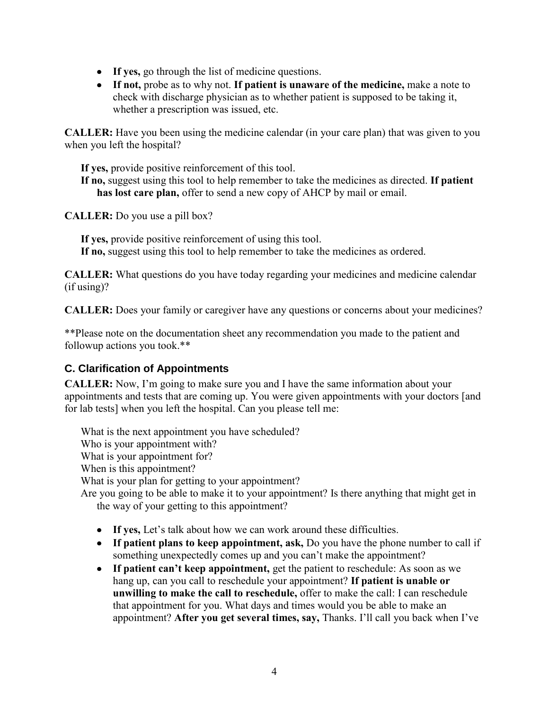- **If yes,** go through the list of medicine questions.
- **If not,** probe as to why not. **If patient is unaware of the medicine,** make a note to check with discharge physician as to whether patient is supposed to be taking it, whether a prescription was issued, etc.

**CALLER:** Have you been using the medicine calendar (in your care plan) that was given to you when you left the hospital?

**If yes,** provide positive reinforcement of this tool. **If no,** suggest using this tool to help remember to take the medicines as directed. **If patient has lost care plan,** offer to send a new copy of AHCP by mail or email.

**CALLER:** Do you use a pill box?

**If yes,** provide positive reinforcement of using this tool. **If no,** suggest using this tool to help remember to take the medicines as ordered.

**CALLER:** What questions do you have today regarding your medicines and medicine calendar (if using)?

**CALLER:** Does your family or caregiver have any questions or concerns about your medicines?

\*\*Please note on the documentation sheet any recommendation you made to the patient and followup actions you took.\*\*

#### **C. Clarification of Appointments**

**CALLER:** Now, I'm going to make sure you and I have the same information about your appointments and tests that are coming up. You were given appointments with your doctors [and for lab tests] when you left the hospital. Can you please tell me:

What is the next appointment you have scheduled? Who is your appointment with? What is your appointment for? When is this appointment? What is your plan for getting to your appointment? Are you going to be able to make it to your appointment? Is there anything that might get in the way of your getting to this appointment?

- **If yes,** Let's talk about how we can work around these difficulties.
- **If patient plans to keep appointment, ask,** Do you have the phone number to call if something unexpectedly comes up and you can't make the appointment?
- **If patient can't keep appointment,** get the patient to reschedule: As soon as we hang up, can you call to reschedule your appointment? **If patient is unable or unwilling to make the call to reschedule,** offer to make the call: I can reschedule that appointment for you. What days and times would you be able to make an appointment? **After you get several times, say,** Thanks. I'll call you back when I've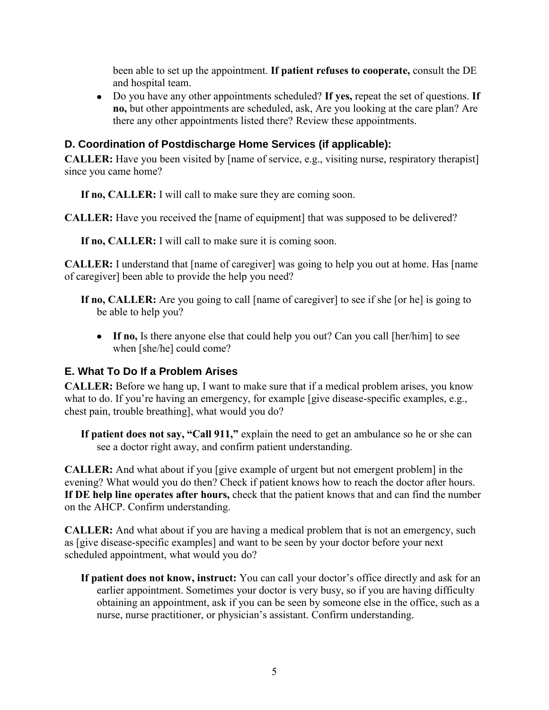been able to set up the appointment. **If patient refuses to cooperate,** consult the DE and hospital team.

Do you have any other appointments scheduled? **If yes,** repeat the set of questions. **If no,** but other appointments are scheduled, ask, Are you looking at the care plan? Are there any other appointments listed there? Review these appointments.

### **D. Coordination of Postdischarge Home Services (if applicable):**

**CALLER:** Have you been visited by [name of service, e.g., visiting nurse, respiratory therapist] since you came home?

**If no, CALLER:** I will call to make sure they are coming soon.

**CALLER:** Have you received the [name of equipment] that was supposed to be delivered?

**If no, CALLER:** I will call to make sure it is coming soon.

**CALLER:** I understand that [name of caregiver] was going to help you out at home. Has [name of caregiver] been able to provide the help you need?

- **If no, CALLER:** Are you going to call [name of caregiver] to see if she [or he] is going to be able to help you?
	- **If no,** Is there anyone else that could help you out? Can you call [her/him] to see when [she/he] could come?

## **E. What To Do If a Problem Arises**

**CALLER:** Before we hang up, I want to make sure that if a medical problem arises, you know what to do. If you're having an emergency, for example [give disease-specific examples, e.g., chest pain, trouble breathing], what would you do?

**If patient does not say, "Call 911,"** explain the need to get an ambulance so he or she can see a doctor right away, and confirm patient understanding.

**CALLER:** And what about if you [give example of urgent but not emergent problem] in the evening? What would you do then? Check if patient knows how to reach the doctor after hours. **If DE help line operates after hours,** check that the patient knows that and can find the number on the AHCP. Confirm understanding.

**CALLER:** And what about if you are having a medical problem that is not an emergency, such as [give disease-specific examples] and want to be seen by your doctor before your next scheduled appointment, what would you do?

**If patient does not know, instruct:** You can call your doctor's office directly and ask for an earlier appointment. Sometimes your doctor is very busy, so if you are having difficulty obtaining an appointment, ask if you can be seen by someone else in the office, such as a nurse, nurse practitioner, or physician's assistant. Confirm understanding.